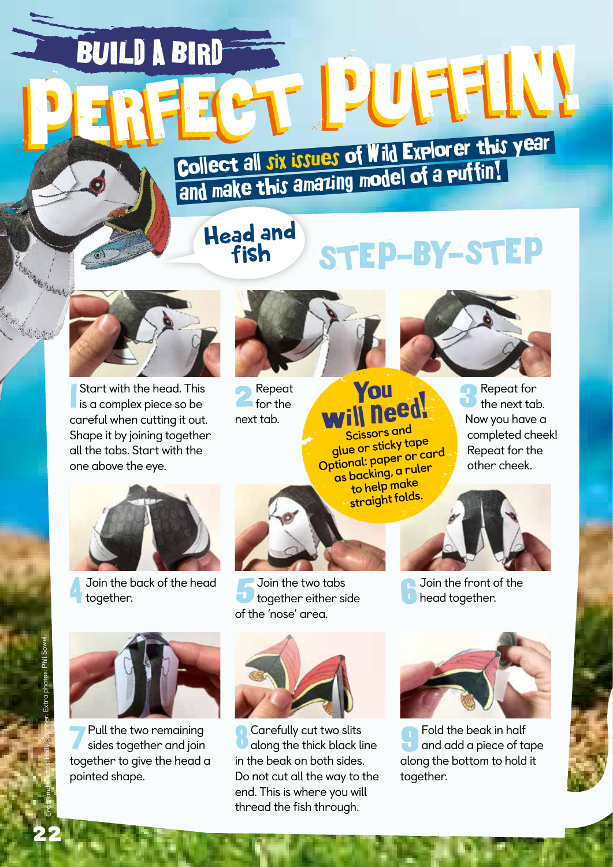## BUILD A BIRD **PERFECT PUFFIN!**

Collect all six issues of Wild Explorer this year Collect all JIX bands of a collect all JIX bands of a puttin!

## Head and STEP-BY-STEP



Start with the head. This<br>is a complex piece so be Start with the head. This careful when cutting it out. Shape it by joining together all the tabs. Start with the one above the eye.



**2** Repeat next tab.



## You need! **Scissors and**

**glue or sticky tape Optional: paper or card as backing, a ruler to help make straight folds.**

Repeat for the next tab. Now you have a completed cheek! Repeat for the other cheek.



4 Join the back of the head together.



7Pull the two remaining sides together and join together to give the head a pointed shape.



together either side of the 'nose' area.



8 Carefully cut two slits along the thick black line in the beak on both sides. Do not cut all the way to the end. This is where you will thread the fish through.



head together.



9Fold the beak in half and add a piece of tape along the bottom to hold it together.

**Change of Change of Change of Change of Change of Change of Change of Change of Change of Change of Change of**